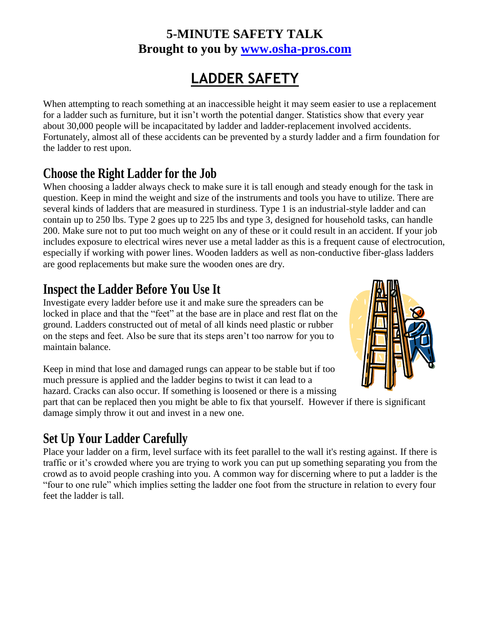#### **5-MINUTE SAFETY TALK Brought to you by www.osha-pros.com**

# **LADDER SAFETY**

When attempting to reach something at an inaccessible height it may seem easier to use a replacement for a ladder such as furniture, but it isn't worth the potential danger. Statistics show that every year about 30,000 people will be incapacitated by ladder and ladder-replacement involved accidents. Fortunately, almost all of these accidents can be prevented by a sturdy ladder and a firm foundation for the ladder to rest upon.

### **Choose the Right Ladder for the Job**

When choosing a ladder always check to make sure it is tall enough and steady enough for the task in question. Keep in mind the weight and size of the instruments and tools you have to utilize. There are several kinds of ladders that are measured in sturdiness. Type 1 is an industrial-style ladder and can contain up to 250 lbs. Type 2 goes up to 225 lbs and type 3, designed for household tasks, can handle 200. Make sure not to put too much weight on any of these or it could result in an accident. If your job includes exposure to electrical wires never use a metal ladder as this is a frequent cause of electrocution, especially if working with power lines. Wooden ladders as well as non-conductive fiber-glass ladders are good replacements but make sure the wooden ones are dry.

## **Inspect the Ladder Before You Use It**

Investigate every ladder before use it and make sure the spreaders can be locked in place and that the "feet" at the base are in place and rest flat on the ground. Ladders constructed out of metal of all kinds need plastic or rubber on the steps and feet. Also be sure that its steps aren't too narrow for you to maintain balance.



Keep in mind that lose and damaged rungs can appear to be stable but if too much pressure is applied and the ladder begins to twist it can lead to a hazard. Cracks can also occur. If something is loosened or there is a missing

part that can be replaced then you might be able to fix that yourself. However if there is significant damage simply throw it out and invest in a new one.

## **Set Up Your Ladder Carefully**

Place your ladder on a firm, level surface with its feet parallel to the wall it's resting against. If there is traffic or it's crowded where you are trying to work you can put up something separating you from the crowd as to avoid people crashing into you. A common way for discerning where to put a ladder is the "four to one rule" which implies setting the ladder one foot from the structure in relation to every four feet the ladder is tall.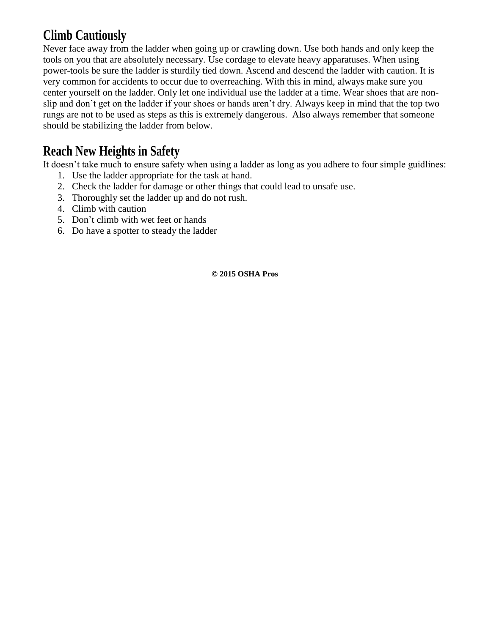### **Climb Cautiously**

Never face away from the ladder when going up or crawling down. Use both hands and only keep the tools on you that are absolutely necessary. Use cordage to elevate heavy apparatuses. When using power-tools be sure the ladder is sturdily tied down. Ascend and descend the ladder with caution. It is very common for accidents to occur due to overreaching. With this in mind, always make sure you center yourself on the ladder. Only let one individual use the ladder at a time. Wear shoes that are nonslip and don't get on the ladder if your shoes or hands aren't dry. Always keep in mind that the top two rungs are not to be used as steps as this is extremely dangerous. Also always remember that someone should be stabilizing the ladder from below.

### **Reach New Heights in Safety**

It doesn't take much to ensure safety when using a ladder as long as you adhere to four simple guidlines:

- 1. Use the ladder appropriate for the task at hand.
- 2. Check the ladder for damage or other things that could lead to unsafe use.
- 3. Thoroughly set the ladder up and do not rush.
- 4. Climb with caution
- 5. Don't climb with wet feet or hands
- 6. Do have a spotter to steady the ladder

**© 2015 OSHA Pros**